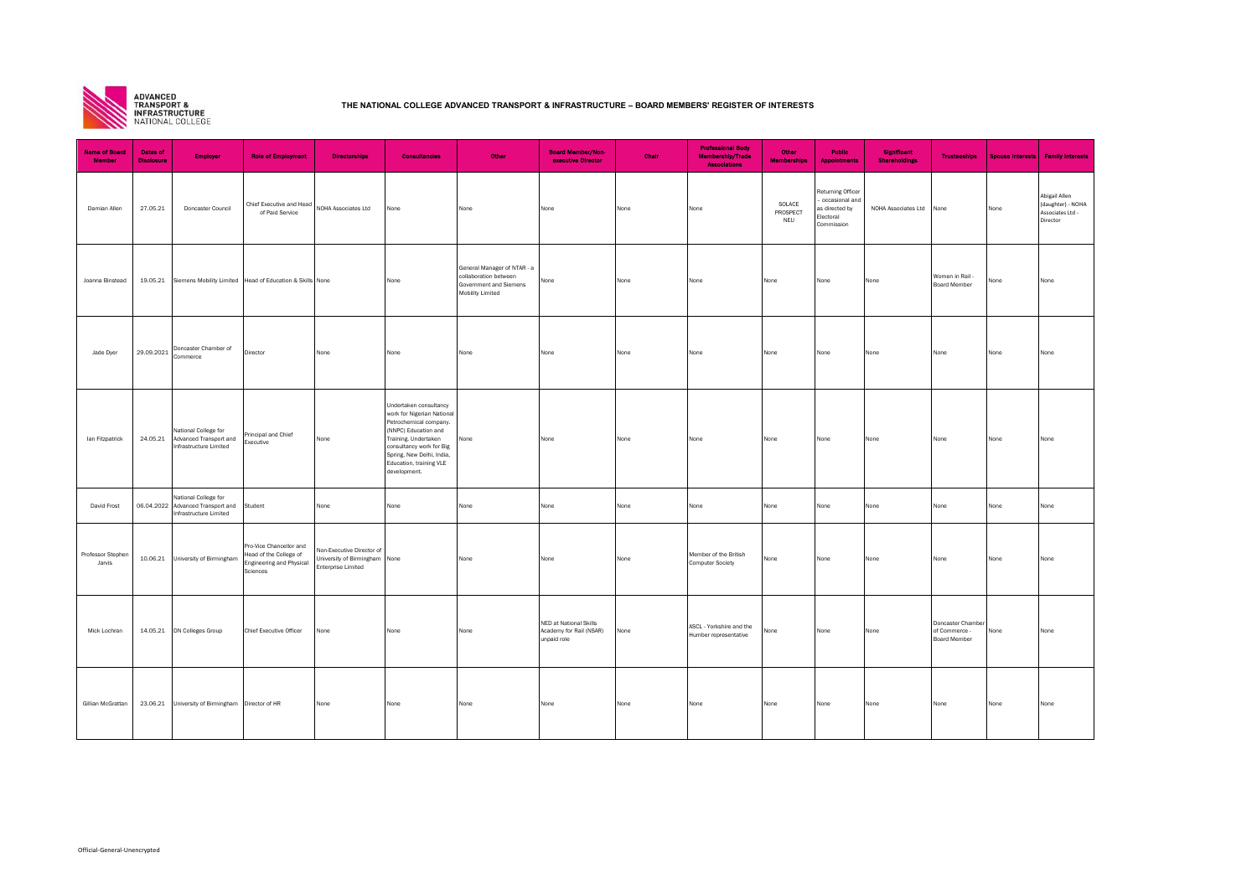

## **THE NATIONAL COLLEGE ADVANCED TRANSPORT & INFRASTRUCTURE – BOARD MEMBERS' REGISTER OF INTERESTS**

| <b>Name of Board</b><br><b>Member</b> | <b>Dates of</b><br><b>Disclosure</b> | <b>Employer</b>                                                                             | <b>Role of Employment</b>                                                                        | <b>Directorships</b>                                                                    | <b>Consultancies</b>                                                                                                                                                                                                               | Other                                                                                              | <b>Board Member/Non-</b><br>executive Director                   | Chair | <b>Professional Body</b><br>Membership/Trade<br><b>Associations</b> | Other<br><b>Memberships</b> | <b>Public</b><br><b>Appointments</b>                                                    | <b>Significant</b><br><b>Shareholdings</b> | <b>Trusteeships</b>                                | Spouse Interests | <b>Family Interests</b>                                            |
|---------------------------------------|--------------------------------------|---------------------------------------------------------------------------------------------|--------------------------------------------------------------------------------------------------|-----------------------------------------------------------------------------------------|------------------------------------------------------------------------------------------------------------------------------------------------------------------------------------------------------------------------------------|----------------------------------------------------------------------------------------------------|------------------------------------------------------------------|-------|---------------------------------------------------------------------|-----------------------------|-----------------------------------------------------------------------------------------|--------------------------------------------|----------------------------------------------------|------------------|--------------------------------------------------------------------|
| Damian Allen                          | 27.05.21                             | Doncaster Council                                                                           | Chief Executive and Head<br>of Paid Service                                                      | NOHA Associates Ltd                                                                     | None                                                                                                                                                                                                                               | None                                                                                               | None                                                             | None  | None                                                                | SOLACE<br>PROSPECT<br>NEU   | <b>Returning Officer</b><br>occasional and<br>as directed by<br>Electoral<br>Commission | NOHA Associates Ltd                        | None                                               | None             | Abigail Allen<br>(daughter) - NOHA<br>Associates Ltd -<br>Director |
| Joanna Binstead                       |                                      |                                                                                             | 19.05.21 Siemens Mobility Limited Head of Education & Skills None                                |                                                                                         | None                                                                                                                                                                                                                               | General Manager of NTAR - a<br>collaboration between<br>Government and Siemens<br>Mobility Limited | None                                                             | None  | None                                                                | None                        | None                                                                                    | None                                       | Women in Rail -<br>Board Member                    | None             | None                                                               |
| Jade Dyer                             | 29.09.2021                           | Doncaster Chamber of<br>Commerce                                                            | Director                                                                                         | None                                                                                    | None                                                                                                                                                                                                                               | None                                                                                               | None                                                             | None  | None                                                                | None                        | None                                                                                    | None                                       | None                                               | None             | None                                                               |
| lan Fitzpatrick                       | 24.05.21                             | National College for<br>Advanced Transport and<br>Infrastructure Limited                    | Principal and Chief<br>Executive                                                                 | None                                                                                    | Undertaken consultancy<br>work for Nigerian National<br>Petrochemical company.<br>(NNPC) Education and<br>Training. Undertaken<br>consultancy work for Big<br>Spring, New Delhi, India,<br>Education, training VLE<br>development. | None                                                                                               | None                                                             | None  | None                                                                | None                        | None                                                                                    | None                                       | None                                               | None             | None                                                               |
| David Frost                           |                                      | National College for<br>06.04.2022 Advanced Transport and Student<br>Infrastructure Limited |                                                                                                  | None                                                                                    | None                                                                                                                                                                                                                               | None                                                                                               | None                                                             | None  | None                                                                | None                        | None                                                                                    | None                                       | None                                               | None             | None                                                               |
| Professor Stephen<br>Jarvis           | 10.06.21                             | University of Birmingham                                                                    | Pro-Vice Chancellor and<br>Head of the College of<br><b>Engineering and Physical</b><br>Sciences | Non-Executive Director of<br>University of Birmingham None<br><b>Enterprise Limited</b> |                                                                                                                                                                                                                                    | None                                                                                               | None                                                             | None  | Member of the British<br><b>Computer Society</b>                    | None                        | None                                                                                    | None                                       | None                                               | None             | None                                                               |
| Mick Lochran                          |                                      | 14.05.21 DN Colleges Group                                                                  | Chief Executive Officer                                                                          | None                                                                                    | None                                                                                                                                                                                                                               | None                                                                                               | NED at National Skills<br>Academy for Rail (NSAR)<br>unpaid role | None  | ASCL - Yorkshire and the<br>Humber representative                   | None                        | None                                                                                    | None                                       | Doncaster Chamber<br>of Commerce -<br>Board Member | None             | None                                                               |
| Gillian McGrattan                     |                                      | 23.06.21 University of Birmingham Director of HR                                            |                                                                                                  | None                                                                                    | None                                                                                                                                                                                                                               | None                                                                                               | None                                                             | None  | None                                                                | None                        | None                                                                                    | None                                       | None                                               | None             | None                                                               |